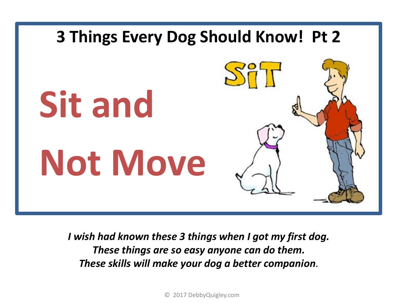

*I wish had known these 3 things when I got my first dog. These things are so easy anyone can do them. These skills will make your dog a better companion*.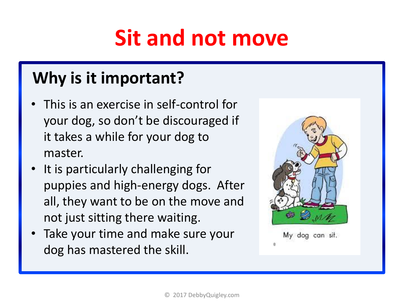# **Sit and not move**

## **Why is it important?**

- This is an exercise in self-control for your dog, so don't be discouraged if it takes a while for your dog to master.
- It is particularly challenging for puppies and high-energy dogs. After all, they want to be on the move and not just sitting there waiting.
- Take your time and make sure your dog has mastered the skill.



My dog can sit.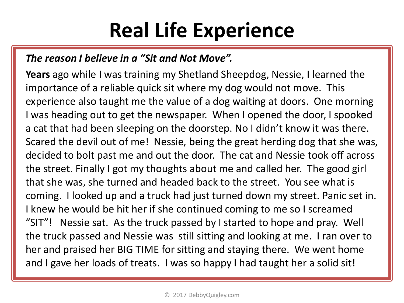## **Real Life Experience**

### *The reason I believe in a "Sit and Not Move".*

**Years** ago while I was training my Shetland Sheepdog, Nessie, I learned the importance of a reliable quick sit where my dog would not move. This experience also taught me the value of a dog waiting at doors. One morning I was heading out to get the newspaper. When I opened the door, I spooked a cat that had been sleeping on the doorstep. No I didn't know it was there. Scared the devil out of me! Nessie, being the great herding dog that she was, decided to bolt past me and out the door. The cat and Nessie took off across the street. Finally I got my thoughts about me and called her. The good girl that she was, she turned and headed back to the street. You see what is coming. I looked up and a truck had just turned down my street. Panic set in. I knew he would be hit her if she continued coming to me so I screamed "SIT"! Nessie sat. As the truck passed by I started to hope and pray. Well the truck passed and Nessie was still sitting and looking at me. I ran over to her and praised her BIG TIME for sitting and staying there. We went home and I gave her loads of treats. I was so happy I had taught her a solid sit!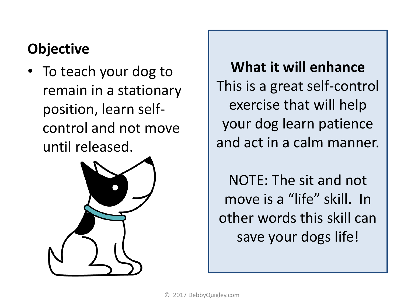### **Objective**

• To teach your dog to remain in a stationary position, learn selfcontrol and not move until released.



**What it will enhance**  This is a great self-control exercise that will help your dog learn patience and act in a calm manner.

NOTE: The sit and not move is a "life" skill. In other words this skill can save your dogs life!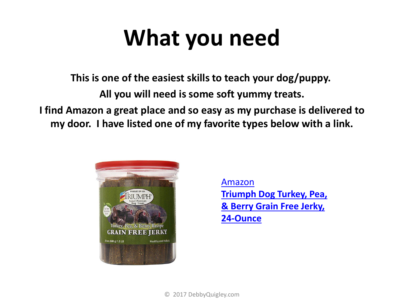# **What you need**

**This is one of the easiest skills to teach your dog/puppy.**

**All you will need is some soft yummy treats.** 

**I find Amazon a great place and so easy as my purchase is delivered to my door. I have listed one of my favorite types below with a link.**



[Amazon](http://amzn.to/2rbkPvg) **[Triumph Dog Turkey, Pea,](a href="https:/www.amazon.com/SportDOG-Brand-Gonia-Special-Whistle/dp/B001F0IPM4/ref=as_li_ss_il?s=pet-supplies&ie=UTF8&qid=1493670906&sr=1-16&keywords=dog+whistle&linkCode=li2&tag=dogwdogtrai-20&linkId=abed160f2affbba0f5472a9af5715234" target="_blank"><img border="0" src="//ws-na.amazon-adsystem.com/widgets/q?_encoding=UTF8&ASIN=B001F0IPM4&Format=_SL160_&ID=AsinImage&MarketPlace=US&ServiceVersion=20070822&WS=1&tag=dogwdogtrai-20" ></a><img src="https://ir-na.amazon-adsystem.com/e/ir?t=dogwdogtrai-20&l=li2&o=1&a=B001F0IPM4" width="1" height="1" border="0" alt="" style="border:none !important; margin:0px !important;" /)  [& Berry Grain Free Jerky,](http://amzn.to/2rbkPvg)  [24-Ounce](http://amzn.to/2rbkPvg)**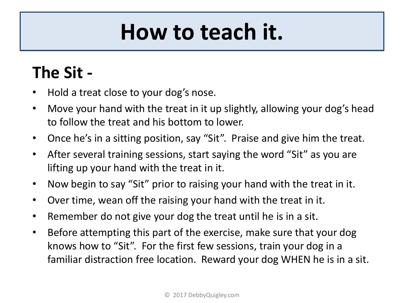# **How to teach it.**

## **The Sit -**

- Hold a treat close to your dog's nose.
- Move your hand with the treat in it up slightly, allowing your dog's head to follow the treat and his bottom to lower.
- Once he's in a sitting position, say "Sit". Praise and give him the treat.
- After several training sessions, start saying the word "Sit" as you are lifting up your hand with the treat in it.
- Now begin to say "Sit" prior to raising your hand with the treat in it.
- Over time, wean off the raising your hand with the treat in it.
- Remember do not give your dog the treat until he is in a sit.
- Before attempting this part of the exercise, make sure that your dog knows how to "Sit". For the first few sessions, train your dog in a familiar distraction free location. Reward your dog WHEN he is in a sit.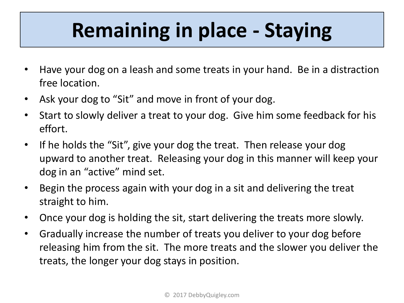# **Remaining in place - Staying**

- Have your dog on a leash and some treats in your hand. Be in a distraction free location.
- Ask your dog to "Sit" and move in front of your dog.
- Start to slowly deliver a treat to your dog. Give him some feedback for his effort.
- If he holds the "Sit", give your dog the treat. Then release your dog upward to another treat. Releasing your dog in this manner will keep your dog in an "active" mind set.
- Begin the process again with your dog in a sit and delivering the treat straight to him.
- Once your dog is holding the sit, start delivering the treats more slowly.
- Gradually increase the number of treats you deliver to your dog before releasing him from the sit. The more treats and the slower you deliver the treats, the longer your dog stays in position.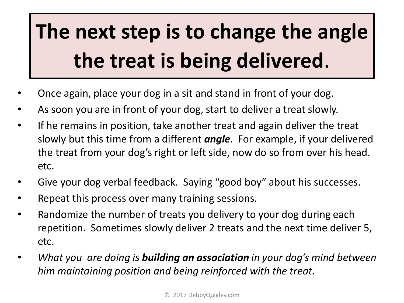# **The next step is to change the angle the treat is being delivered**.

- Once again, place your dog in a sit and stand in front of your dog.
- As soon you are in front of your dog, start to deliver a treat slowly.
- If he remains in position, take another treat and again deliver the treat slowly but this time from a different *angle*. For example, if your delivered the treat from your dog's right or left side, now do so from over his head. etc.
- Give your dog verbal feedback. Saying "good boy" about his successes.
- Repeat this process over many training sessions.
- Randomize the number of treats you delivery to your dog during each repetition. Sometimes slowly deliver 2 treats and the next time deliver 5, etc.
- *What you are doing is building an association in your dog's mind between him maintaining position and being reinforced with the treat.*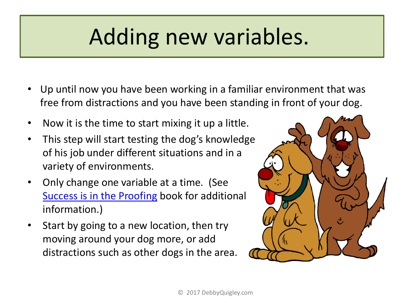# Adding new variables.

- Up until now you have been working in a familiar environment that was free from distractions and you have been standing in front of your dog.
- Now it is the time to start mixing it up a little.
- This step will start testing the dog's knowledge of his job under different situations and in a variety of environments.
- Only change one variable at a time. (See [Success is in the Proofing](http://debbyquigley.com/success-is-in-the-proofing/) book for additional information.)
- Start by going to a new location, then try moving around your dog more, or add distractions such as other dogs in the area.

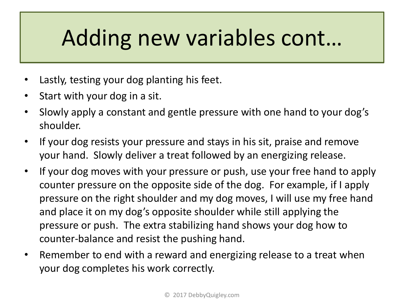# Adding new variables cont…

- Lastly, testing your dog planting his feet.
- Start with your dog in a sit.
- Slowly apply a constant and gentle pressure with one hand to your dog's shoulder.
- If your dog resists your pressure and stays in his sit, praise and remove your hand. Slowly deliver a treat followed by an energizing release.
- If your dog moves with your pressure or push, use your free hand to apply counter pressure on the opposite side of the dog. For example, if I apply pressure on the right shoulder and my dog moves, I will use my free hand and place it on my dog's opposite shoulder while still applying the pressure or push. The extra stabilizing hand shows your dog how to counter-balance and resist the pushing hand.
- Remember to end with a reward and energizing release to a treat when your dog completes his work correctly.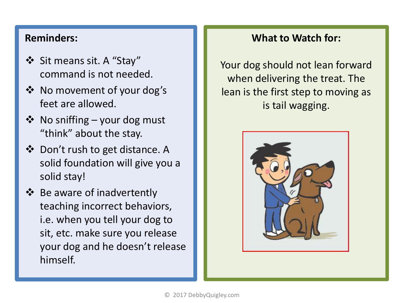#### **Reminders:**

- Sit means sit. A "Stay" command is not needed.
- No movement of your dog's feet are allowed.
- $\triangleleft$  No sniffing your dog must "think" about the stay.
- ❖ Don't rush to get distance. A solid foundation will give you a solid stay!
- **Be aware of inadvertently** teaching incorrect behaviors, i.e. when you tell your dog to sit, etc. make sure you release your dog and he doesn't release himself.

### **What to Watch for:**

Your dog should not lean forward when delivering the treat. The lean is the first step to moving as is tail wagging.

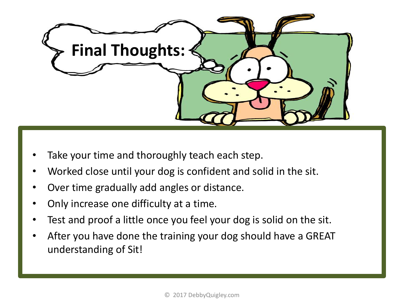

- Take your time and thoroughly teach each step.
- Worked close until your dog is confident and solid in the sit.
- Over time gradually add angles or distance.
- Only increase one difficulty at a time.
- Test and proof a little once you feel your dog is solid on the sit.
- After you have done the training your dog should have a GREAT understanding of Sit!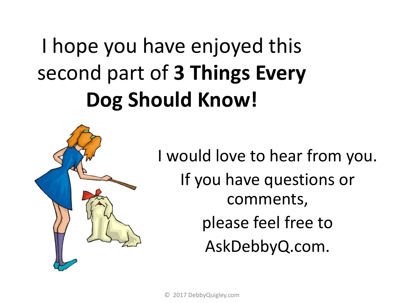# I hope you have enjoyed this second part of **3 Things Every Dog Should Know!**



I would love to hear from you. If you have questions or comments, please feel free to AskDebbyQ.com.